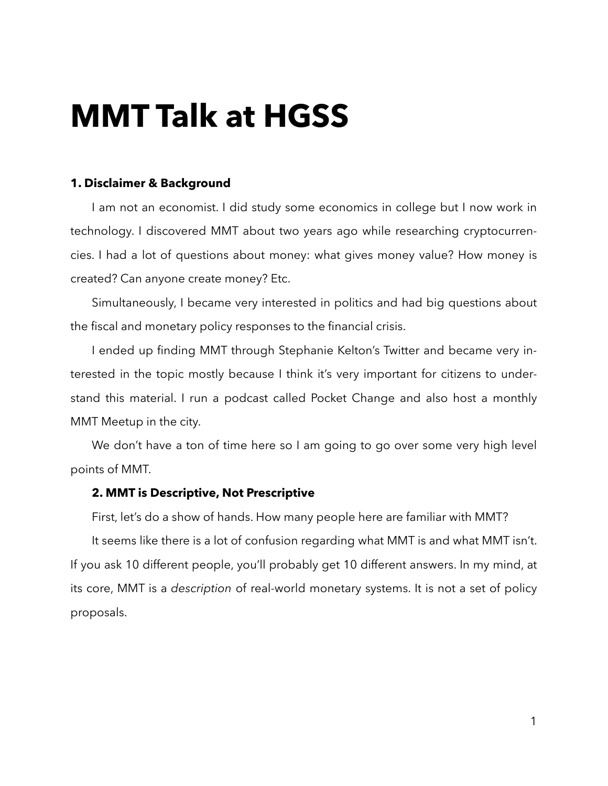# **MMT Talk at HGSS**

# **1. Disclaimer & Background**

I am not an economist. I did study some economics in college but I now work in technology. I discovered MMT about two years ago while researching cryptocurrencies. I had a lot of questions about money: what gives money value? How money is created? Can anyone create money? Etc.

Simultaneously, I became very interested in politics and had big questions about the fiscal and monetary policy responses to the financial crisis.

I ended up finding MMT through Stephanie Kelton's Twitter and became very interested in the topic mostly because I think it's very important for citizens to understand this material. I run a podcast called Pocket Change and also host a monthly MMT Meetup in the city.

We don't have a ton of time here so I am going to go over some very high level points of MMT.

## **2. MMT is Descriptive, Not Prescriptive**

First, let's do a show of hands. How many people here are familiar with MMT?

It seems like there is a lot of confusion regarding what MMT is and what MMT isn't. If you ask 10 different people, you'll probably get 10 different answers. In my mind, at its core, MMT is a *description* of real-world monetary systems. It is not a set of policy proposals.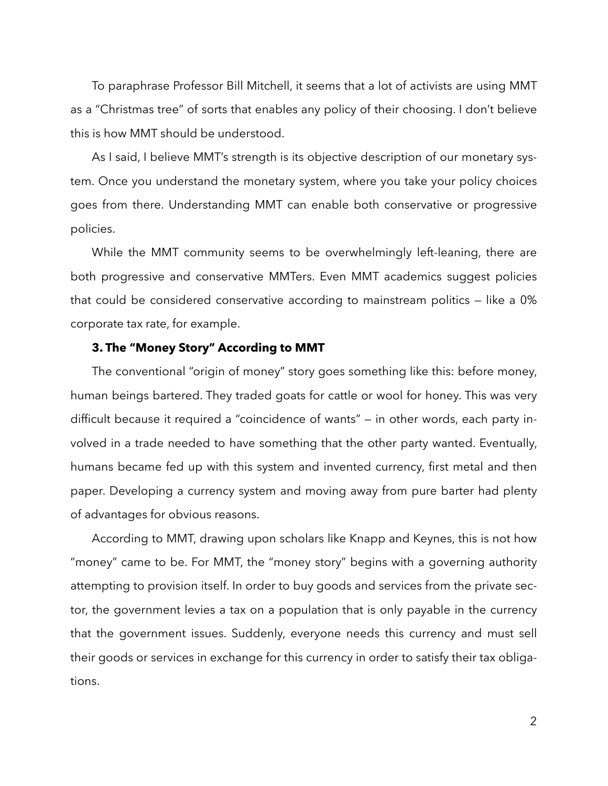To paraphrase Professor Bill Mitchell, it seems that a lot of activists are using MMT as a "Christmas tree" of sorts that enables any policy of their choosing. I don't believe this is how MMT should be understood.

As I said, I believe MMT's strength is its objective description of our monetary system. Once you understand the monetary system, where you take your policy choices goes from there. Understanding MMT can enable both conservative or progressive policies.

While the MMT community seems to be overwhelmingly left-leaning, there are both progressive and conservative MMTers. Even MMT academics suggest policies that could be considered conservative according to mainstream politics — like a 0% corporate tax rate, for example.

## **3. The "Money Story" According to MMT**

The conventional "origin of money" story goes something like this: before money, human beings bartered. They traded goats for cattle or wool for honey. This was very difficult because it required a "coincidence of wants" — in other words, each party involved in a trade needed to have something that the other party wanted. Eventually, humans became fed up with this system and invented currency, first metal and then paper. Developing a currency system and moving away from pure barter had plenty of advantages for obvious reasons.

According to MMT, drawing upon scholars like Knapp and Keynes, this is not how "money" came to be. For MMT, the "money story" begins with a governing authority attempting to provision itself. In order to buy goods and services from the private sector, the government levies a tax on a population that is only payable in the currency that the government issues. Suddenly, everyone needs this currency and must sell their goods or services in exchange for this currency in order to satisfy their tax obligations.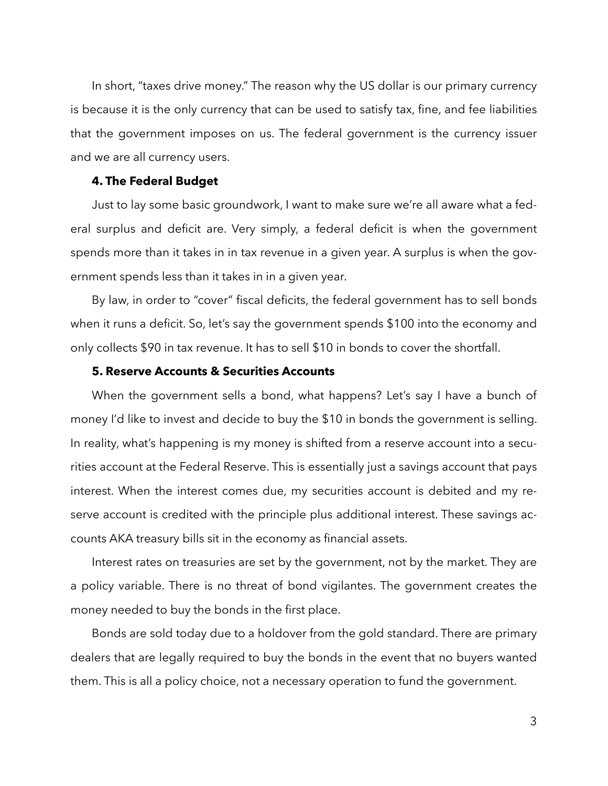In short, "taxes drive money." The reason why the US dollar is our primary currency is because it is the only currency that can be used to satisfy tax, fine, and fee liabilities that the government imposes on us. The federal government is the currency issuer and we are all currency users.

#### **4. The Federal Budget**

Just to lay some basic groundwork, I want to make sure we're all aware what a federal surplus and deficit are. Very simply, a federal deficit is when the government spends more than it takes in in tax revenue in a given year. A surplus is when the government spends less than it takes in in a given year.

By law, in order to "cover" fiscal deficits, the federal government has to sell bonds when it runs a deficit. So, let's say the government spends \$100 into the economy and only collects \$90 in tax revenue. It has to sell \$10 in bonds to cover the shortfall.

# **5. Reserve Accounts & Securities Accounts**

When the government sells a bond, what happens? Let's say I have a bunch of money I'd like to invest and decide to buy the \$10 in bonds the government is selling. In reality, what's happening is my money is shifted from a reserve account into a securities account at the Federal Reserve. This is essentially just a savings account that pays interest. When the interest comes due, my securities account is debited and my reserve account is credited with the principle plus additional interest. These savings accounts AKA treasury bills sit in the economy as financial assets.

Interest rates on treasuries are set by the government, not by the market. They are a policy variable. There is no threat of bond vigilantes. The government creates the money needed to buy the bonds in the first place.

Bonds are sold today due to a holdover from the gold standard. There are primary dealers that are legally required to buy the bonds in the event that no buyers wanted them. This is all a policy choice, not a necessary operation to fund the government.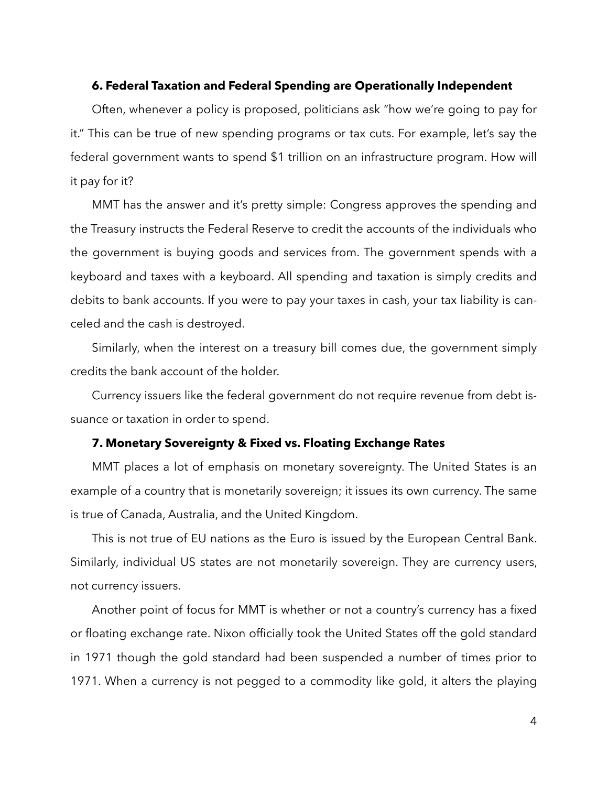#### **6. Federal Taxation and Federal Spending are Operationally Independent**

Often, whenever a policy is proposed, politicians ask "how we're going to pay for it." This can be true of new spending programs or tax cuts. For example, let's say the federal government wants to spend \$1 trillion on an infrastructure program. How will it pay for it?

MMT has the answer and it's pretty simple: Congress approves the spending and the Treasury instructs the Federal Reserve to credit the accounts of the individuals who the government is buying goods and services from. The government spends with a keyboard and taxes with a keyboard. All spending and taxation is simply credits and debits to bank accounts. If you were to pay your taxes in cash, your tax liability is canceled and the cash is destroyed.

Similarly, when the interest on a treasury bill comes due, the government simply credits the bank account of the holder.

Currency issuers like the federal government do not require revenue from debt issuance or taxation in order to spend.

## **7. Monetary Sovereignty & Fixed vs. Floating Exchange Rates**

MMT places a lot of emphasis on monetary sovereignty. The United States is an example of a country that is monetarily sovereign; it issues its own currency. The same is true of Canada, Australia, and the United Kingdom.

This is not true of EU nations as the Euro is issued by the European Central Bank. Similarly, individual US states are not monetarily sovereign. They are currency users, not currency issuers.

Another point of focus for MMT is whether or not a country's currency has a fixed or floating exchange rate. Nixon officially took the United States off the gold standard in 1971 though the gold standard had been suspended a number of times prior to 1971. When a currency is not pegged to a commodity like gold, it alters the playing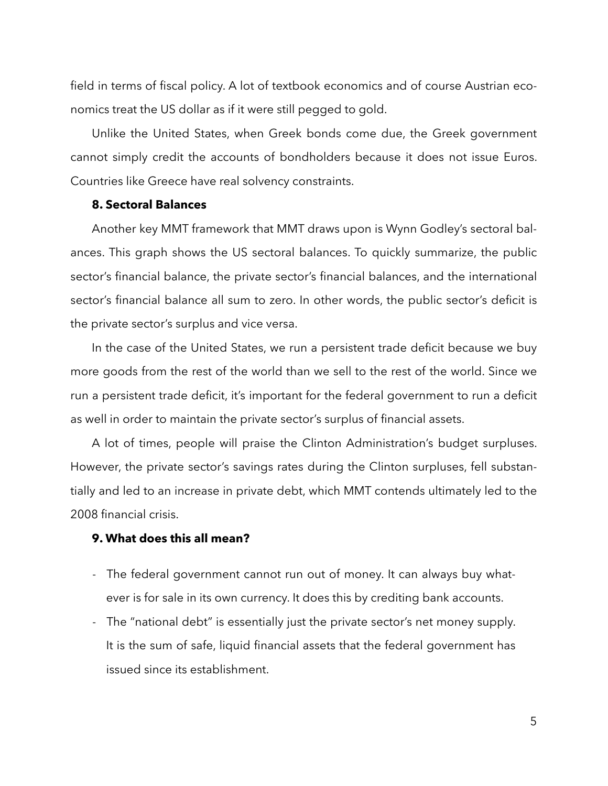field in terms of fiscal policy. A lot of textbook economics and of course Austrian economics treat the US dollar as if it were still pegged to gold.

Unlike the United States, when Greek bonds come due, the Greek government cannot simply credit the accounts of bondholders because it does not issue Euros. Countries like Greece have real solvency constraints.

## **8. Sectoral Balances**

Another key MMT framework that MMT draws upon is Wynn Godley's sectoral balances. This graph shows the US sectoral balances. To quickly summarize, the public sector's financial balance, the private sector's financial balances, and the international sector's financial balance all sum to zero. In other words, the public sector's deficit is the private sector's surplus and vice versa.

In the case of the United States, we run a persistent trade deficit because we buy more goods from the rest of the world than we sell to the rest of the world. Since we run a persistent trade deficit, it's important for the federal government to run a deficit as well in order to maintain the private sector's surplus of financial assets.

A lot of times, people will praise the Clinton Administration's budget surpluses. However, the private sector's savings rates during the Clinton surpluses, fell substantially and led to an increase in private debt, which MMT contends ultimately led to the 2008 financial crisis.

## **9. What does this all mean?**

- The federal government cannot run out of money. It can always buy whatever is for sale in its own currency. It does this by crediting bank accounts.
- The "national debt" is essentially just the private sector's net money supply. It is the sum of safe, liquid financial assets that the federal government has issued since its establishment.